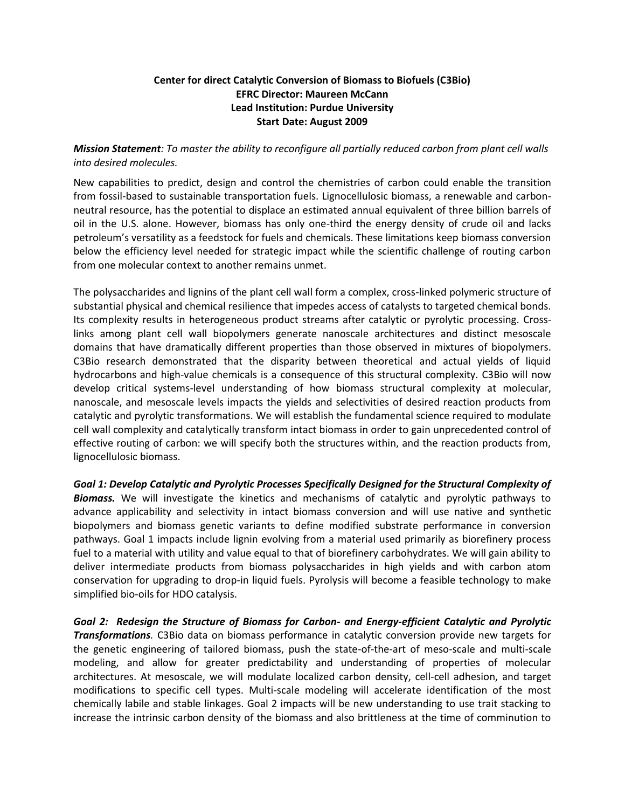## **Center for direct Catalytic Conversion of Biomass to Biofuels (C3Bio) EFRC Director: Maureen McCann Lead Institution: Purdue University Start Date: August 2009**

*Mission Statement: To master the ability to reconfigure all partially reduced carbon from plant cell walls into desired molecules.*

New capabilities to predict, design and control the chemistries of carbon could enable the transition from fossil-based to sustainable transportation fuels. Lignocellulosic biomass, a renewable and carbonneutral resource, has the potential to displace an estimated annual equivalent of three billion barrels of oil in the U.S. alone. However, biomass has only one-third the energy density of crude oil and lacks petroleum's versatility as a feedstock for fuels and chemicals. These limitations keep biomass conversion below the efficiency level needed for strategic impact while the scientific challenge of routing carbon from one molecular context to another remains unmet.

The polysaccharides and lignins of the plant cell wall form a complex, cross-linked polymeric structure of substantial physical and chemical resilience that impedes access of catalysts to targeted chemical bonds. Its complexity results in heterogeneous product streams after catalytic or pyrolytic processing. Crosslinks among plant cell wall biopolymers generate nanoscale architectures and distinct mesoscale domains that have dramatically different properties than those observed in mixtures of biopolymers. C3Bio research demonstrated that the disparity between theoretical and actual yields of liquid hydrocarbons and high-value chemicals is a consequence of this structural complexity. C3Bio will now develop critical systems-level understanding of how biomass structural complexity at molecular, nanoscale, and mesoscale levels impacts the yields and selectivities of desired reaction products from catalytic and pyrolytic transformations. We will establish the fundamental science required to modulate cell wall complexity and catalytically transform intact biomass in order to gain unprecedented control of effective routing of carbon: we will specify both the structures within, and the reaction products from, lignocellulosic biomass.

*Goal 1: Develop Catalytic and Pyrolytic Processes Specifically Designed for the Structural Complexity of Biomass.* We will investigate the kinetics and mechanisms of catalytic and pyrolytic pathways to advance applicability and selectivity in intact biomass conversion and will use native and synthetic biopolymers and biomass genetic variants to define modified substrate performance in conversion pathways. Goal 1 impacts include lignin evolving from a material used primarily as biorefinery process fuel to a material with utility and value equal to that of biorefinery carbohydrates. We will gain ability to deliver intermediate products from biomass polysaccharides in high yields and with carbon atom conservation for upgrading to drop-in liquid fuels. Pyrolysis will become a feasible technology to make simplified bio-oils for HDO catalysis.

*Goal 2: Redesign the Structure of Biomass for Carbon- and Energy-efficient Catalytic and Pyrolytic Transformations.* C3Bio data on biomass performance in catalytic conversion provide new targets for the genetic engineering of tailored biomass, push the state-of-the-art of meso-scale and multi-scale modeling, and allow for greater predictability and understanding of properties of molecular architectures. At mesoscale, we will modulate localized carbon density, cell-cell adhesion, and target modifications to specific cell types. Multi-scale modeling will accelerate identification of the most chemically labile and stable linkages. Goal 2 impacts will be new understanding to use trait stacking to increase the intrinsic carbon density of the biomass and also brittleness at the time of comminution to